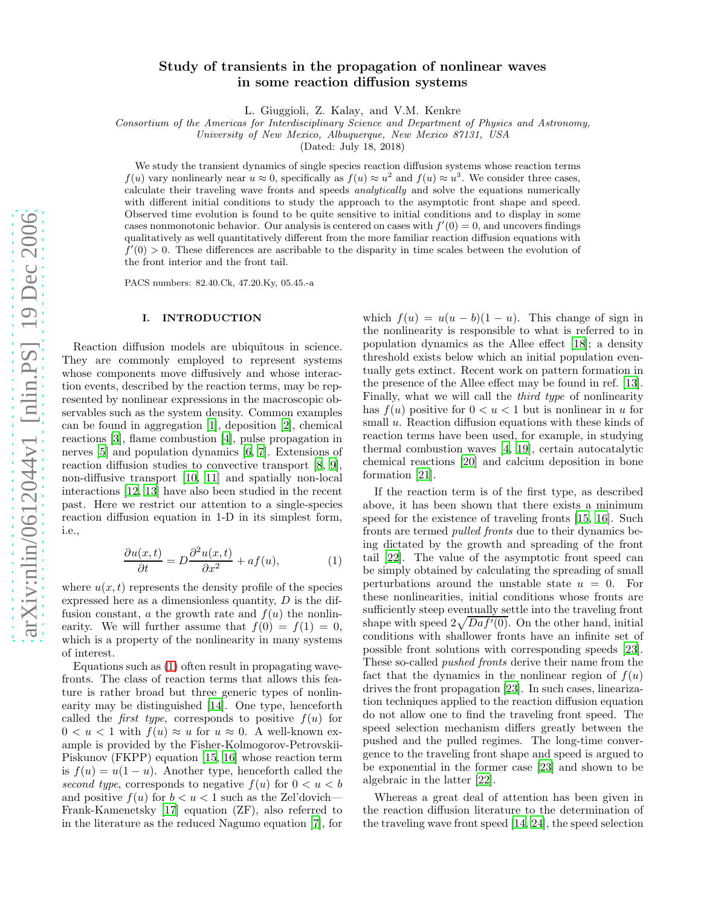# Study of transients in the propagation of nonlinear waves in some reaction diffusion systems

L. Giuggioli, Z. Kalay, and V.M. Kenkre

Consortium of the Americas for Interdisciplinary Science and Department of Physics and Astronomy,

University of New Mexico, Albuquerque, New Mexico 87131, USA

(Dated: July 18, 2018)

We study the transient dynamics of single species reaction diffusion systems whose reaction terms  $f(u)$  vary nonlinearly near  $u \approx 0$ , specifically as  $f(u) \approx u^2$  and  $f(u) \approx u^3$ . We consider three cases, calculate their traveling wave fronts and speeds analytically and solve the equations numerically with different initial conditions to study the approach to the asymptotic front shape and speed. Observed time evolution is found to be quite sensitive to initial conditions and to display in some cases nonmonotonic behavior. Our analysis is centered on cases with  $f'(0) = 0$ , and uncovers findings qualitatively as well quantitatively different from the more familiar reaction diffusion equations with  $f'(0) > 0$ . These differences are ascribable to the disparity in time scales between the evolution of the front interior and the front tail.

PACS numbers: 82.40.Ck, 47.20.Ky, 05.45.-a

### I. INTRODUCTION

Reaction diffusion models are ubiquitous in science. They are commonly employed to represent systems whose components move diffusively and whose interaction events, described by the reaction terms, may be represented by nonlinear expressions in the macroscopic observables such as the system density. Common examples can be found in aggregation [\[1\]](#page-5-0), deposition [\[2\]](#page-5-1), chemical reactions [\[3](#page-6-0)], flame combustion [\[4\]](#page-6-1), pulse propagation in nerves [\[5](#page-6-2)] and population dynamics [\[6,](#page-6-3) [7\]](#page-6-4). Extensions of reaction diffusion studies to convective transport [\[8,](#page-6-5) [9\]](#page-6-6), non-diffusive transport [\[10,](#page-6-7) [11\]](#page-6-8) and spatially non-local interactions [\[12,](#page-6-9) [13\]](#page-6-10) have also been studied in the recent past. Here we restrict our attention to a single-species reaction diffusion equation in 1-D in its simplest form, i.e.,

<span id="page-0-0"></span>
$$
\frac{\partial u(x,t)}{\partial t} = D \frac{\partial^2 u(x,t)}{\partial x^2} + af(u),\tag{1}
$$

where  $u(x, t)$  represents the density profile of the species expressed here as a dimensionless quantity,  $D$  is the diffusion constant, a the growth rate and  $f(u)$  the nonlinearity. We will further assume that  $f(0) = f(1) = 0$ , which is a property of the nonlinearity in many systems of interest.

Equations such as [\(1\)](#page-0-0) often result in propagating wavefronts. The class of reaction terms that allows this feature is rather broad but three generic types of nonlinearity may be distinguished [\[14\]](#page-6-11). One type, henceforth called the *first type*, corresponds to positive  $f(u)$  for  $0 < u < 1$  with  $f(u) \approx u$  for  $u \approx 0$ . A well-known example is provided by the Fisher-Kolmogorov-Petrovskii-Piskunov (FKPP) equation [\[15](#page-6-12), [16](#page-6-13)] whose reaction term is  $f(u) = u(1 - u)$ . Another type, henceforth called the second type, corresponds to negative  $f(u)$  for  $0 < u < b$ and positive  $f(u)$  for  $b < u < 1$  such as the Zel'dovich— Frank-Kamenetsky [\[17\]](#page-6-14) equation (ZF), also referred to in the literature as the reduced Nagumo equation [\[7\]](#page-6-4), for

which  $f(u) = u(u - b)(1 - u)$ . This change of sign in the nonlinearity is responsible to what is referred to in population dynamics as the Allee effect [\[18](#page-6-15)]; a density threshold exists below which an initial population eventually gets extinct. Recent work on pattern formation in the presence of the Allee effect may be found in ref. [\[13\]](#page-6-10). Finally, what we will call the third type of nonlinearity has  $f(u)$  positive for  $0 < u < 1$  but is nonlinear in u for small u. Reaction diffusion equations with these kinds of reaction terms have been used, for example, in studying thermal combustion waves [\[4,](#page-6-1) [19\]](#page-6-16), certain autocatalytic chemical reactions [\[20\]](#page-6-17) and calcium deposition in bone formation [\[21\]](#page-6-18).

If the reaction term is of the first type, as described above, it has been shown that there exists a minimum speed for the existence of traveling fronts [\[15,](#page-6-12) [16\]](#page-6-13). Such fronts are termed pulled fronts due to their dynamics being dictated by the growth and spreading of the front tail [\[22\]](#page-6-19). The value of the asymptotic front speed can be simply obtained by calculating the spreading of small perturbations around the unstable state  $u = 0$ . For these nonlinearities, initial conditions whose fronts are sufficiently steep eventually settle into the traveling front shape with speed  $2\sqrt{Daf'(0)}$ . On the other hand, initial conditions with shallower fronts have an infinite set of possible front solutions with corresponding speeds [\[23\]](#page-6-20). These so-called pushed fronts derive their name from the fact that the dynamics in the nonlinear region of  $f(u)$ drives the front propagation [\[23](#page-6-20)]. In such cases, linearization techniques applied to the reaction diffusion equation do not allow one to find the traveling front speed. The speed selection mechanism differs greatly between the pushed and the pulled regimes. The long-time convergence to the traveling front shape and speed is argued to be exponential in the former case [\[23\]](#page-6-20) and shown to be algebraic in the latter [\[22\]](#page-6-19).

Whereas a great deal of attention has been given in the reaction diffusion literature to the determination of the traveling wave front speed [\[14](#page-6-11), [24](#page-6-21)], the speed selection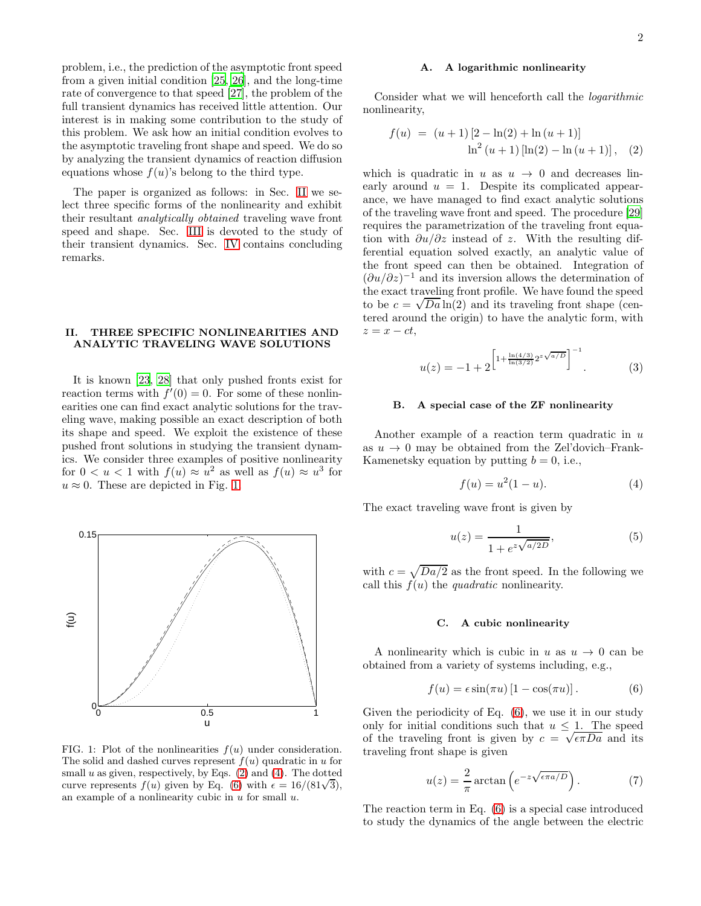problem, i.e., the prediction of the asymptotic front speed from a given initial condition [\[25,](#page-6-22) [26\]](#page-6-23), and the long-time rate of convergence to that speed [\[27](#page-6-24)], the problem of the full transient dynamics has received little attention. Our interest is in making some contribution to the study of this problem. We ask how an initial condition evolves to the asymptotic traveling front shape and speed. We do so by analyzing the transient dynamics of reaction diffusion equations whose  $f(u)$ 's belong to the third type.

The paper is organized as follows: in Sec. [II](#page-1-0) we select three specific forms of the nonlinearity and exhibit their resultant analytically obtained traveling wave front speed and shape. Sec. [III](#page-2-0) is devoted to the study of their transient dynamics. Sec. [IV](#page-5-2) contains concluding remarks.

## <span id="page-1-0"></span>II. THREE SPECIFIC NONLINEARITIES AND ANALYTIC TRAVELING WAVE SOLUTIONS

It is known [\[23](#page-6-20), [28\]](#page-6-25) that only pushed fronts exist for reaction terms with  $f'(0) = 0$ . For some of these nonlinearities one can find exact analytic solutions for the traveling wave, making possible an exact description of both its shape and speed. We exploit the existence of these pushed front solutions in studying the transient dynamics. We consider three examples of positive nonlinearity for  $0 < u < 1$  with  $f(u) \approx u^2$  as well as  $f(u) \approx u^3$  for  $u \approx 0$ . These are depicted in Fig. [1.](#page-1-1)



<span id="page-1-1"></span>FIG. 1: Plot of the nonlinearities  $f(u)$  under consideration. The solid and dashed curves represent  $f(u)$  quadratic in u for small  $u$  as given, respectively, by Eqs. [\(2\)](#page-1-2) and [\(4\)](#page-1-3). The dotted curve represents  $f(u)$  given by Eq. [\(6\)](#page-1-4) with  $\epsilon = 16/(81\sqrt{3})$ , an example of a nonlinearity cubic in  $u$  for small  $u$ .

#### A. A logarithmic nonlinearity

Consider what we will henceforth call the logarithmic nonlinearity,

<span id="page-1-2"></span>
$$
f(u) = (u+1) [2 - \ln(2) + \ln(u+1)]
$$
  

$$
\ln^{2} (u+1) [\ln(2) - \ln(u+1)], (2)
$$

which is quadratic in u as  $u \to 0$  and decreases linearly around  $u = 1$ . Despite its complicated appearance, we have managed to find exact analytic solutions of the traveling wave front and speed. The procedure [\[29](#page-6-26)] requires the parametrization of the traveling front equation with  $\partial u/\partial z$  instead of z. With the resulting differential equation solved exactly, an analytic value of the front speed can then be obtained. Integration of  $(\partial u/\partial z)^{-1}$  and its inversion allows the determination of the exact traveling front profile. We have found the speed to be  $c = \sqrt{Da} \ln(2)$  and its traveling front shape (centered around the origin) to have the analytic form, with  $z = x - ct$ ,

<span id="page-1-7"></span>
$$
u(z) = -1 + 2 \left[ 1 + \frac{\ln(4/3)}{\ln(3/2)} 2^{z\sqrt{a/D}} \right]^{-1}.
$$
 (3)

#### B. A special case of the ZF nonlinearity

Another example of a reaction term quadratic in  $u$ as  $u \rightarrow 0$  may be obtained from the Zel'dovich–Frank-Kamenetsky equation by putting  $b = 0$ , i.e.,

<span id="page-1-3"></span>
$$
f(u) = u^2(1 - u).
$$
 (4)

The exact traveling wave front is given by

<span id="page-1-6"></span>
$$
u(z) = \frac{1}{1 + e^{z\sqrt{a/2D}}},
$$
\n(5)

with  $c = \sqrt{Da/2}$  as the front speed. In the following we call this  $f(u)$  the *quadratic* nonlinearity.

#### C. A cubic nonlinearity

A nonlinearity which is cubic in u as  $u \to 0$  can be obtained from a variety of systems including, e.g.,

<span id="page-1-4"></span>
$$
f(u) = \epsilon \sin(\pi u) [1 - \cos(\pi u)]. \tag{6}
$$

Given the periodicity of Eq. [\(6\)](#page-1-4), we use it in our study only for initial conditions such that  $u \leq 1$ . The speed of the traveling front is given by  $c = \sqrt{\epsilon \pi Da}$  and its traveling front shape is given

<span id="page-1-5"></span>
$$
u(z) = \frac{2}{\pi} \arctan\left(e^{-z\sqrt{\epsilon \pi a/D}}\right). \tag{7}
$$

The reaction term in Eq. [\(6\)](#page-1-4) is a special case introduced to study the dynamics of the angle between the electric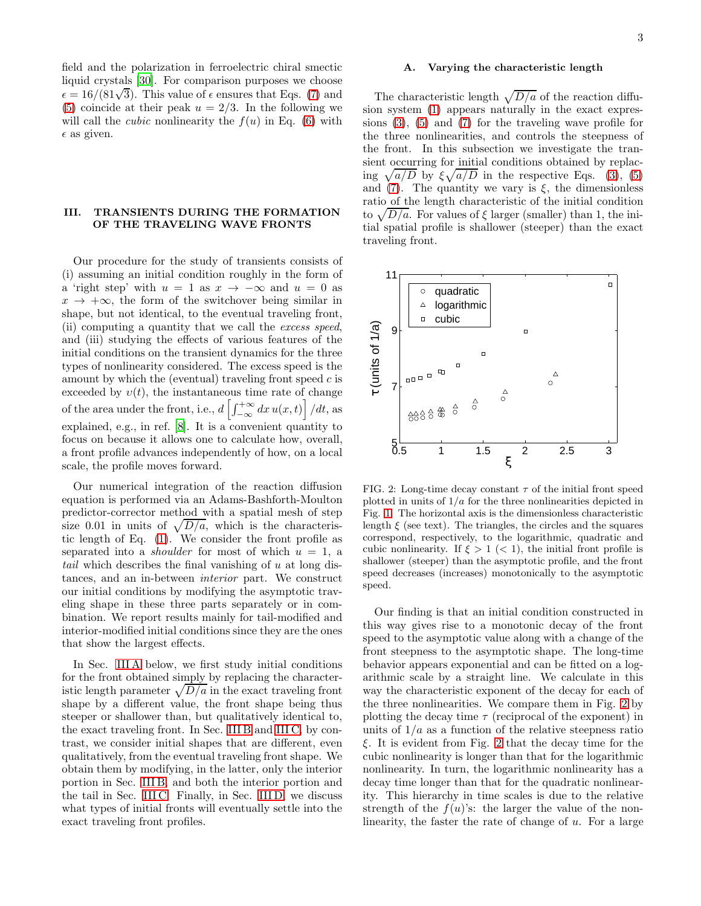field and the polarization in ferroelectric chiral smectic liquid crystals [\[30\]](#page-6-27). For comparison purposes we choose  $\epsilon = 16/(81\sqrt{3})$ . This value of  $\epsilon$  ensures that Eqs. [\(7\)](#page-1-5) and [\(5\)](#page-1-6) coincide at their peak  $u = 2/3$ . In the following we will call the *cubic* nonlinearity the  $f(u)$  in Eq. [\(6\)](#page-1-4) with  $\epsilon$  as given.

# <span id="page-2-0"></span>III. TRANSIENTS DURING THE FORMATION OF THE TRAVELING WAVE FRONTS

Our procedure for the study of transients consists of (i) assuming an initial condition roughly in the form of a 'right step' with  $u = 1$  as  $x \to -\infty$  and  $u = 0$  as  $x \rightarrow +\infty$ , the form of the switchover being similar in shape, but not identical, to the eventual traveling front, (ii) computing a quantity that we call the excess speed, and (iii) studying the effects of various features of the initial conditions on the transient dynamics for the three types of nonlinearity considered. The excess speed is the amount by which the (eventual) traveling front speed  $c$  is exceeded by  $v(t)$ , the instantaneous time rate of change of the area under the front, i.e.,  $d\left[\int_{-\infty}^{+\infty} dx u(x,t)\right] / dt$ , as explained, e.g., in ref. [\[8](#page-6-5)]. It is a convenient quantity to focus on because it allows one to calculate how, overall, a front profile advances independently of how, on a local scale, the profile moves forward.

Our numerical integration of the reaction diffusion equation is performed via an Adams-Bashforth-Moulton predictor-corrector method with a spatial mesh of step size 0.01 in units of  $\sqrt{D/a}$ , which is the characteristic length of Eq. [\(1\)](#page-0-0). We consider the front profile as separated into a *shoulder* for most of which  $u = 1$ , a tail which describes the final vanishing of u at long distances, and an in-between interior part. We construct our initial conditions by modifying the asymptotic traveling shape in these three parts separately or in combination. We report results mainly for tail-modified and interior-modified initial conditions since they are the ones that show the largest effects.

In Sec. [III A](#page-2-1) below, we first study initial conditions for the front obtained simply by replacing the characteristic length parameter  $\sqrt{D/a}$  in the exact traveling front shape by a different value, the front shape being thus steeper or shallower than, but qualitatively identical to, the exact traveling front. In Sec. [III B](#page-3-0) and [III C,](#page-4-0) by contrast, we consider initial shapes that are different, even qualitatively, from the eventual traveling front shape. We obtain them by modifying, in the latter, only the interior portion in Sec. [III B,](#page-3-0) and both the interior portion and the tail in Sec. [III C.](#page-4-0) Finally, in Sec. [III D,](#page-5-3) we discuss what types of initial fronts will eventually settle into the exact traveling front profiles.

### <span id="page-2-1"></span>A. Varying the characteristic length

The characteristic length  $\sqrt{D/a}$  of the reaction diffusion system [\(1\)](#page-0-0) appears naturally in the exact expressions [\(3\)](#page-1-7), [\(5\)](#page-1-6) and [\(7\)](#page-1-5) for the traveling wave profile for the three nonlinearities, and controls the steepness of the front. In this subsection we investigate the transient occurring for initial conditions obtained by replacing  $\sqrt{a/D}$  by  $\xi \sqrt{a/D}$  in the respective Eqs. [\(3\)](#page-1-7), [\(5\)](#page-1-6) and [\(7\)](#page-1-5). The quantity we vary is  $\xi$ , the dimensionless ratio of the length characteristic of the initial condition to  $\sqrt{D/a}$ . For values of  $\xi$  larger (smaller) than 1, the initial spatial profile is shallower (steeper) than the exact traveling front.



<span id="page-2-2"></span>FIG. 2: Long-time decay constant  $\tau$  of the initial front speed plotted in units of  $1/a$  for the three nonlinearities depicted in Fig. [1.](#page-1-1) The horizontal axis is the dimensionless characteristic length  $\xi$  (see text). The triangles, the circles and the squares correspond, respectively, to the logarithmic, quadratic and cubic nonlinearity. If  $\xi > 1 \ (\leq 1)$ , the initial front profile is shallower (steeper) than the asymptotic profile, and the front speed decreases (increases) monotonically to the asymptotic speed.

Our finding is that an initial condition constructed in this way gives rise to a monotonic decay of the front speed to the asymptotic value along with a change of the front steepness to the asymptotic shape. The long-time behavior appears exponential and can be fitted on a logarithmic scale by a straight line. We calculate in this way the characteristic exponent of the decay for each of the three nonlinearities. We compare them in Fig. [2](#page-2-2) by plotting the decay time  $\tau$  (reciprocal of the exponent) in units of  $1/a$  as a function of the relative steepness ratio ξ. It is evident from Fig. [2](#page-2-2) that the decay time for the cubic nonlinearity is longer than that for the logarithmic nonlinearity. In turn, the logarithmic nonlinearity has a decay time longer than that for the quadratic nonlinearity. This hierarchy in time scales is due to the relative strength of the  $f(u)$ 's: the larger the value of the nonlinearity, the faster the rate of change of  $u$ . For a large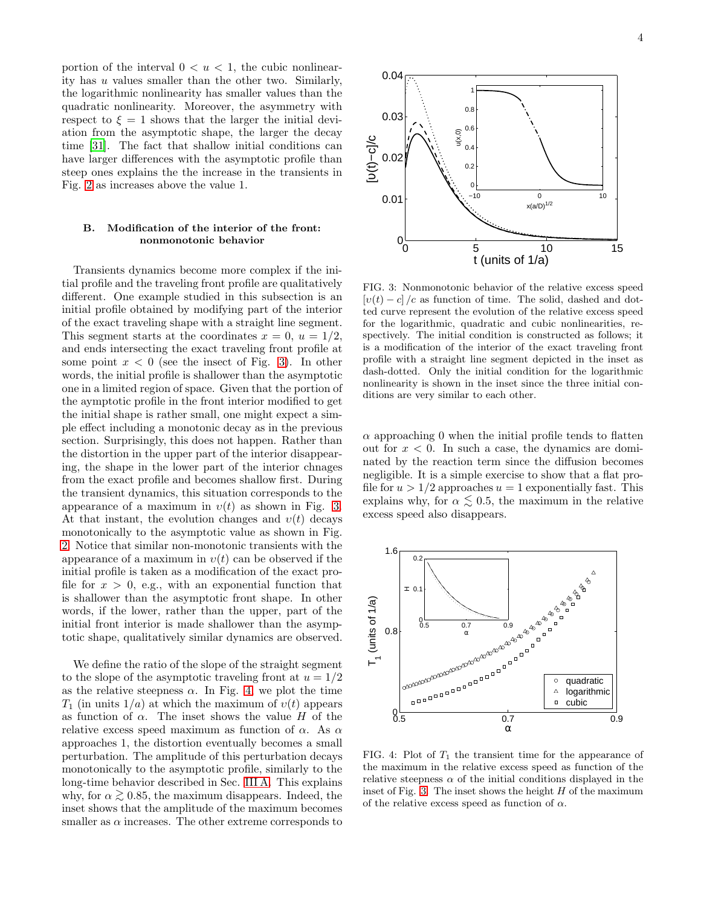portion of the interval  $0 < u < 1$ , the cubic nonlinearity has u values smaller than the other two. Similarly, the logarithmic nonlinearity has smaller values than the quadratic nonlinearity. Moreover, the asymmetry with respect to  $\xi = 1$  shows that the larger the initial deviation from the asymptotic shape, the larger the decay time [\[31\]](#page-6-28). The fact that shallow initial conditions can have larger differences with the asymptotic profile than steep ones explains the the increase in the transients in Fig. [2](#page-2-2) as increases above the value 1.

### <span id="page-3-0"></span>B. Modification of the interior of the front: nonmonotonic behavior

PSfrag repla

Transients dynamics become more complex if the initial profile and the traveling front profile are qualitatively different. One example studied in this subsection is an initial profile obtained by modifying part of the interior of the exact traveling shape with a straight line segment. This segment starts at the coordinates  $x = 0$ ,  $u = 1/2$ , and ends intersecting the exact traveling front profile at some point  $x < 0$  (see the insect of Fig. [3\)](#page-3-1). In other words, the initial profile is shallower than the asymptotic one in a limited region of space. Given that the portion of the aymptotic profile in the front interior modified to get the initial shape is rather small, one might expect a simple effect including a monotonic decay as in the previous section. Surprisingly, this does not happen. Rather than the distortion in the upper part of the interior disappearing, the shape in the lower part of the interior chnages from the exact profile and becomes shallow first. During the transient dynamics, this situation corresponds to the appearance of a maximum in  $v(t)$  as shown in Fig. [3.](#page-3-1) At that instant, the evolution changes and  $v(t)$  decays monotonically to the asymptotic value as shown in Fig. [2.](#page-2-2) Notice that similar non-monotonic transients with the appearance of a maximum in  $v(t)$  can be observed if the initial profile is taken as a modification of the exact profile for  $x > 0$ , e.g., with an exponential function that is shallower than the asymptotic front shape. In other words, if the lower, rather than the upper, part of the initial front interior is made shallower than the asymptotic shape, qualitatively similar dynamics are observed.

We define the ratio of the slope of the straight segment to the slope of the asymptotic traveling front at  $u = 1/2$ as the relative steepness  $\alpha$ . In Fig. [4,](#page-3-2) we plot the time  $T_1$  (in units  $1/a$ ) at which the maximum of  $v(t)$  appears as function of  $\alpha$ . The inset shows the value H of the relative excess speed maximum as function of  $\alpha$ . As  $\alpha$ approaches 1, the distortion eventually becomes a small perturbation. The amplitude of this perturbation decays monotonically to the asymptotic profile, similarly to the long-time behavior described in Sec. [III A.](#page-2-1) This explains why, for  $\alpha \gtrsim 0.85$ , the maximum disappears. Indeed, the inset shows that the amplitude of the maximum becomes smaller as  $\alpha$  increases. The other extreme corresponds to

<span id="page-3-1"></span>FIG. 3: Nonmonotonic behavior of the relative excess speed  $[v(t) - c]$  /c as function of time. The solid, dashed and dotted curve represent the evolution of the relative excess speed for the logarithmic, quadratic and cubic nonlinearities, respectively. The initial condition is constructed as follows; it is a modification of the interior of the exact traveling front profile with a straight line segment depicted in the inset as dash-dotted. Only the initial condition for the logarithmic nonlinearity is shown in the inset since the three initial conditions are very similar to each other.

 $\alpha$  approaching 0 when the initial profile tends to flatten out for  $x < 0$ . In such a case, the dynamics are dominated by the reaction term since the diffusion becomes negligible. It is a simple exercise to show that a flat profile for  $u > 1/2$  approaches  $u = 1$  exponentially fast. This explains why, for  $\alpha \lesssim 0.5$ , the maximum in the relative excess speed also disappears.



<span id="page-3-2"></span>FIG. 4: Plot of  $T_1$  the transient time for the appearance of the maximum in the relative excess speed as function of the relative steepness  $\alpha$  of the initial conditions displayed in the inset of Fig. [3.](#page-3-1) The inset shows the height  $H$  of the maximum of the relative excess speed as function of  $\alpha$ .

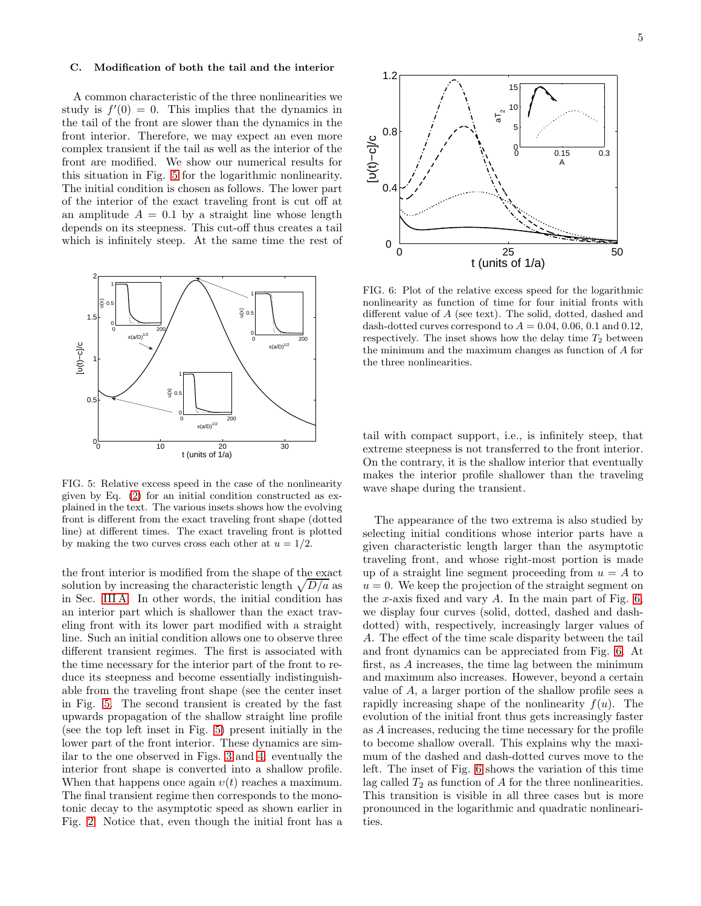### <span id="page-4-0"></span>C. Modification of both the tail and the interior

A common characteristic of the three nonlinearities we study is  $f'(0) = 0$ . This implies that the dynamics in the tail of the front are slower than the dynamics in the front interior. Therefore, we may expect an even more complex transient if the tail as well as the interior of the front are modified. We show our numerical results for this situation in Fig. [5](#page-4-1) for the logarithmic nonlinearity. The initial condition is chosen as follows. The lower part of the interior of the exact traveling front is cut off at an amplitude  $A = 0.1$  by a straight line whose length depends on its steepness. This cut-off thus creates a tail which is infinitely steep. At the same time the rest of



<span id="page-4-1"></span>FIG. 5: Relative excess speed in the case of the nonlinearity given by Eq. [\(2\)](#page-1-2) for an initial condition constructed as explained in the text. The various insets shows how the evolving front is different from the exact traveling front shape (dotted line) at different times. The exact traveling front is plotted by making the two curves cross each other at  $u = 1/2$ .

the front interior is modified from the shape of the exact solution by increasing the characteristic length  $\sqrt{D/a}$  as in Sec. [III A.](#page-2-1) In other words, the initial condition has an interior part which is shallower than the exact traveling front with its lower part modified with a straight line. Such an initial condition allows one to observe three different transient regimes. The first is associated with the time necessary for the interior part of the front to reduce its steepness and become essentially indistinguishable from the traveling front shape (see the center inset in Fig. [5.](#page-4-1) The second transient is created by the fast upwards propagation of the shallow straight line profile (see the top left inset in Fig. [5\)](#page-4-1) present initially in the lower part of the front interior. These dynamics are similar to the one observed in Figs. [3](#page-3-1) and [4:](#page-3-2) eventually the interior front shape is converted into a shallow profile. When that happens once again  $v(t)$  reaches a maximum. The final transient regime then corresponds to the monotonic decay to the asymptotic speed as shown earlier in Fig. [2.](#page-2-2) Notice that, even though the initial front has a



<span id="page-4-2"></span>FIG. 6: Plot of the relative excess speed for the logarithmic nonlinearity as function of time for four initial fronts with different value of A (see text). The solid, dotted, dashed and dash-dotted curves correspond to  $A = 0.04, 0.06, 0.1$  and 0.12, respectively. The inset shows how the delay time  $T_2$  between the minimum and the maximum changes as function of A for the three nonlinearities.

tail with compact support, i.e., is infinitely steep, that extreme steepness is not transferred to the front interior. On the contrary, it is the shallow interior that eventually makes the interior profile shallower than the traveling wave shape during the transient.

The appearance of the two extrema is also studied by selecting initial conditions whose interior parts have a given characteristic length larger than the asymptotic traveling front, and whose right-most portion is made up of a straight line segment proceeding from  $u = A$  to  $u = 0$ . We keep the projection of the straight segment on the x-axis fixed and vary  $A$ . In the main part of Fig. [6,](#page-4-2) we display four curves (solid, dotted, dashed and dashdotted) with, respectively, increasingly larger values of A. The effect of the time scale disparity between the tail and front dynamics can be appreciated from Fig. [6.](#page-4-2) At first, as A increases, the time lag between the minimum and maximum also increases. However, beyond a certain value of A, a larger portion of the shallow profile sees a rapidly increasing shape of the nonlinearity  $f(u)$ . The evolution of the initial front thus gets increasingly faster as A increases, reducing the time necessary for the profile to become shallow overall. This explains why the maximum of the dashed and dash-dotted curves move to the left. The inset of Fig. [6](#page-4-2) shows the variation of this time lag called  $T_2$  as function of A for the three nonlinearities. This transition is visible in all three cases but is more pronounced in the logarithmic and quadratic nonlinearities.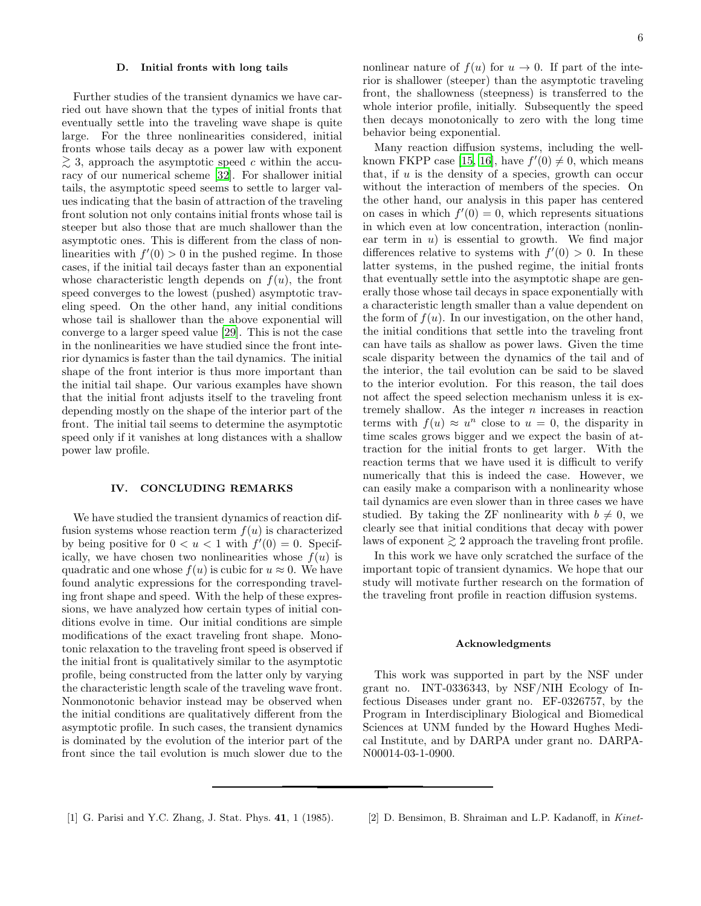#### <span id="page-5-3"></span>D. Initial fronts with long tails

Further studies of the transient dynamics we have carried out have shown that the types of initial fronts that eventually settle into the traveling wave shape is quite large. For the three nonlinearities considered, initial fronts whose tails decay as a power law with exponent  $\geq$  3, approach the asymptotic speed c within the accuracy of our numerical scheme [\[32](#page-6-29)]. For shallower initial tails, the asymptotic speed seems to settle to larger values indicating that the basin of attraction of the traveling front solution not only contains initial fronts whose tail is steeper but also those that are much shallower than the asymptotic ones. This is different from the class of nonlinearities with  $f'(0) > 0$  in the pushed regime. In those cases, if the initial tail decays faster than an exponential whose characteristic length depends on  $f(u)$ , the front speed converges to the lowest (pushed) asymptotic traveling speed. On the other hand, any initial conditions whose tail is shallower than the above exponential will converge to a larger speed value [\[29](#page-6-26)]. This is not the case in the nonlinearities we have studied since the front interior dynamics is faster than the tail dynamics. The initial shape of the front interior is thus more important than the initial tail shape. Our various examples have shown that the initial front adjusts itself to the traveling front depending mostly on the shape of the interior part of the front. The initial tail seems to determine the asymptotic speed only if it vanishes at long distances with a shallow power law profile.

### <span id="page-5-2"></span>IV. CONCLUDING REMARKS

We have studied the transient dynamics of reaction diffusion systems whose reaction term  $f(u)$  is characterized by being positive for  $0 < u < 1$  with  $f'(0) = 0$ . Specifically, we have chosen two nonlinearities whose  $f(u)$  is quadratic and one whose  $f(u)$  is cubic for  $u \approx 0$ . We have found analytic expressions for the corresponding traveling front shape and speed. With the help of these expressions, we have analyzed how certain types of initial conditions evolve in time. Our initial conditions are simple modifications of the exact traveling front shape. Monotonic relaxation to the traveling front speed is observed if the initial front is qualitatively similar to the asymptotic profile, being constructed from the latter only by varying the characteristic length scale of the traveling wave front. Nonmonotonic behavior instead may be observed when the initial conditions are qualitatively different from the asymptotic profile. In such cases, the transient dynamics is dominated by the evolution of the interior part of the front since the tail evolution is much slower due to the

nonlinear nature of  $f(u)$  for  $u \to 0$ . If part of the interior is shallower (steeper) than the asymptotic traveling front, the shallowness (steepness) is transferred to the whole interior profile, initially. Subsequently the speed then decays monotonically to zero with the long time behavior being exponential.

Many reaction diffusion systems, including the well-known FKPP case [\[15](#page-6-12), [16](#page-6-13)], have  $f'(0) \neq 0$ , which means that, if  $u$  is the density of a species, growth can occur without the interaction of members of the species. On the other hand, our analysis in this paper has centered on cases in which  $f'(0) = 0$ , which represents situations in which even at low concentration, interaction (nonlinear term in  $u$ ) is essential to growth. We find major differences relative to systems with  $f'(0) > 0$ . In these latter systems, in the pushed regime, the initial fronts that eventually settle into the asymptotic shape are generally those whose tail decays in space exponentially with a characteristic length smaller than a value dependent on the form of  $f(u)$ . In our investigation, on the other hand, the initial conditions that settle into the traveling front can have tails as shallow as power laws. Given the time scale disparity between the dynamics of the tail and of the interior, the tail evolution can be said to be slaved to the interior evolution. For this reason, the tail does not affect the speed selection mechanism unless it is extremely shallow. As the integer n increases in reaction terms with  $f(u) \approx u^n$  close to  $u = 0$ , the disparity in time scales grows bigger and we expect the basin of attraction for the initial fronts to get larger. With the reaction terms that we have used it is difficult to verify numerically that this is indeed the case. However, we can easily make a comparison with a nonlinearity whose tail dynamics are even slower than in three cases we have studied. By taking the ZF nonlinearity with  $b \neq 0$ , we clearly see that initial conditions that decay with power laws of exponent  $\geq 2$  approach the traveling front profile.

In this work we have only scratched the surface of the important topic of transient dynamics. We hope that our study will motivate further research on the formation of the traveling front profile in reaction diffusion systems.

#### Acknowledgments

<span id="page-5-1"></span>This work was supported in part by the NSF under grant no. INT-0336343, by NSF/NIH Ecology of Infectious Diseases under grant no. EF-0326757, by the Program in Interdisciplinary Biological and Biomedical Sciences at UNM funded by the Howard Hughes Medical Institute, and by DARPA under grant no. DARPA-N00014-03-1-0900.

- 
- <span id="page-5-0"></span>[1] G. Parisi and Y.C. Zhang, J. Stat. Phys. 41, 1 (1985). [2] D. Bensimon, B. Shraiman and L.P. Kadanoff, in Kinet-